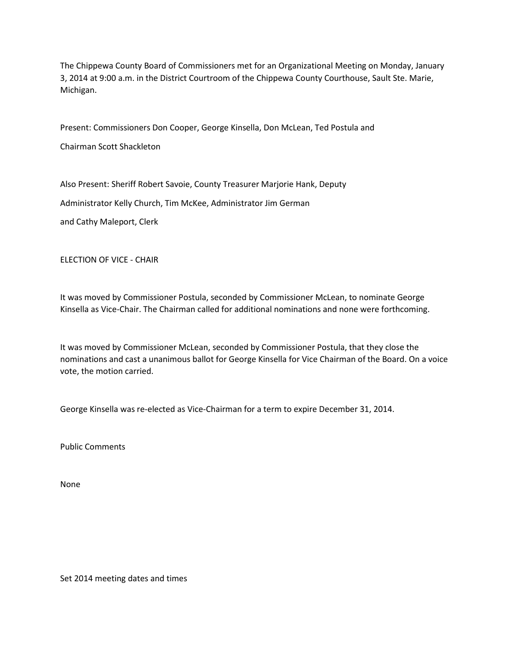The Chippewa County Board of Commissioners met for an Organizational Meeting on Monday, January 3, 2014 at 9:00 a.m. in the District Courtroom of the Chippewa County Courthouse, Sault Ste. Marie, Michigan.

Present: Commissioners Don Cooper, George Kinsella, Don McLean, Ted Postula and

Chairman Scott Shackleton

Also Present: Sheriff Robert Savoie, County Treasurer Marjorie Hank, Deputy Administrator Kelly Church, Tim McKee, Administrator Jim German

and Cathy Maleport, Clerk

ELECTION OF VICE - CHAIR

It was moved by Commissioner Postula, seconded by Commissioner McLean, to nominate George Kinsella as Vice-Chair. The Chairman called for additional nominations and none were forthcoming.

It was moved by Commissioner McLean, seconded by Commissioner Postula, that they close the nominations and cast a unanimous ballot for George Kinsella for Vice Chairman of the Board. On a voice vote, the motion carried.

George Kinsella was re-elected as Vice-Chairman for a term to expire December 31, 2014.

Public Comments

None

Set 2014 meeting dates and times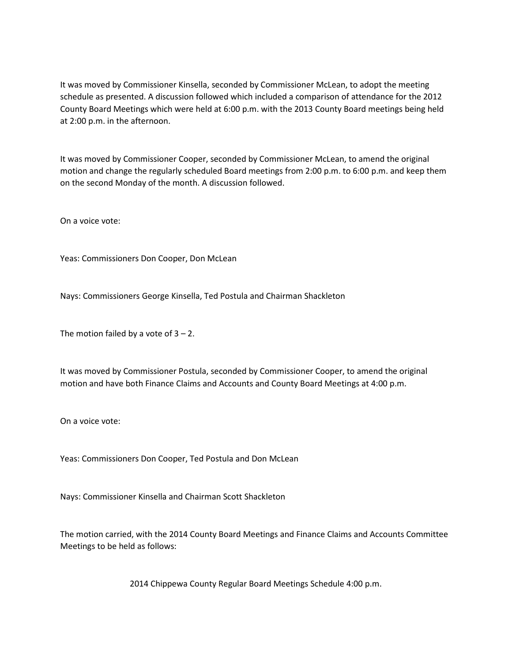It was moved by Commissioner Kinsella, seconded by Commissioner McLean, to adopt the meeting schedule as presented. A discussion followed which included a comparison of attendance for the 2012 County Board Meetings which were held at 6:00 p.m. with the 2013 County Board meetings being held at 2:00 p.m. in the afternoon.

It was moved by Commissioner Cooper, seconded by Commissioner McLean, to amend the original motion and change the regularly scheduled Board meetings from 2:00 p.m. to 6:00 p.m. and keep them on the second Monday of the month. A discussion followed.

On a voice vote:

Yeas: Commissioners Don Cooper, Don McLean

Nays: Commissioners George Kinsella, Ted Postula and Chairman Shackleton

The motion failed by a vote of  $3 - 2$ .

It was moved by Commissioner Postula, seconded by Commissioner Cooper, to amend the original motion and have both Finance Claims and Accounts and County Board Meetings at 4:00 p.m.

On a voice vote:

Yeas: Commissioners Don Cooper, Ted Postula and Don McLean

Nays: Commissioner Kinsella and Chairman Scott Shackleton

The motion carried, with the 2014 County Board Meetings and Finance Claims and Accounts Committee Meetings to be held as follows:

2014 Chippewa County Regular Board Meetings Schedule 4:00 p.m.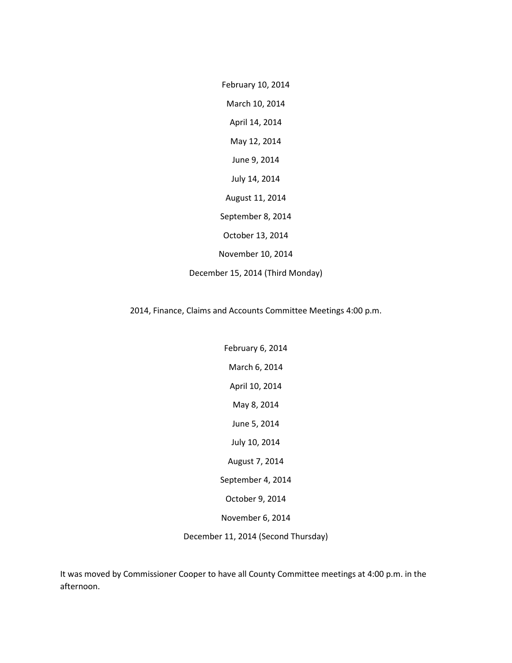February 10, 2014 March 10, 2014 April 14, 2014 May 12, 2014 June 9, 2014 July 14, 2014 August 11, 2014 September 8, 2014 October 13, 2014 November 10, 2014 December 15, 2014 (Third Monday)

2014, Finance, Claims and Accounts Committee Meetings 4:00 p.m.

February 6, 2014 March 6, 2014 April 10, 2014 May 8, 2014 June 5, 2014 July 10, 2014 August 7, 2014 September 4, 2014 October 9, 2014 November 6, 2014

December 11, 2014 (Second Thursday)

It was moved by Commissioner Cooper to have all County Committee meetings at 4:00 p.m. in the afternoon.